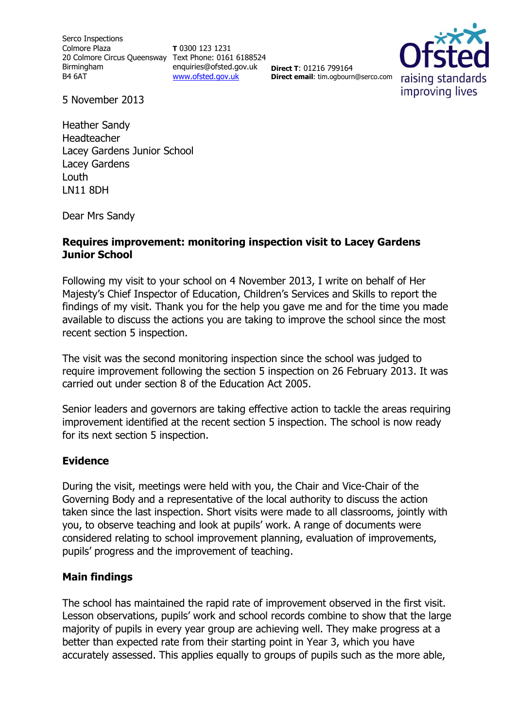Serco Inspections Colmore Plaza 20 Colmore Circus Queensway Text Phone: 0161 6188524 Birmingham B4 6AT

**T** 0300 123 1231 enquiries@ofsted.gov.uk [www.ofsted.gov.uk](http://www.ofsted.gov.uk/)

**Direct T**: 01216 799164 **Direct email**: tim.ogbourn@serco.com



5 November 2013

Heather Sandy Headteacher Lacey Gardens Junior School Lacey Gardens Louth LN11 8DH

Dear Mrs Sandy

## **Requires improvement: monitoring inspection visit to Lacey Gardens Junior School**

Following my visit to your school on 4 November 2013, I write on behalf of Her Majesty's Chief Inspector of Education, Children's Services and Skills to report the findings of my visit. Thank you for the help you gave me and for the time you made available to discuss the actions you are taking to improve the school since the most recent section 5 inspection.

The visit was the second monitoring inspection since the school was judged to require improvement following the section 5 inspection on 26 February 2013. It was carried out under section 8 of the Education Act 2005.

Senior leaders and governors are taking effective action to tackle the areas requiring improvement identified at the recent section 5 inspection. The school is now ready for its next section 5 inspection.

## **Evidence**

During the visit, meetings were held with you, the Chair and Vice-Chair of the Governing Body and a representative of the local authority to discuss the action taken since the last inspection. Short visits were made to all classrooms, jointly with you, to observe teaching and look at pupils' work. A range of documents were considered relating to school improvement planning, evaluation of improvements, pupils' progress and the improvement of teaching.

## **Main findings**

The school has maintained the rapid rate of improvement observed in the first visit. Lesson observations, pupils' work and school records combine to show that the large majority of pupils in every year group are achieving well. They make progress at a better than expected rate from their starting point in Year 3, which you have accurately assessed. This applies equally to groups of pupils such as the more able,